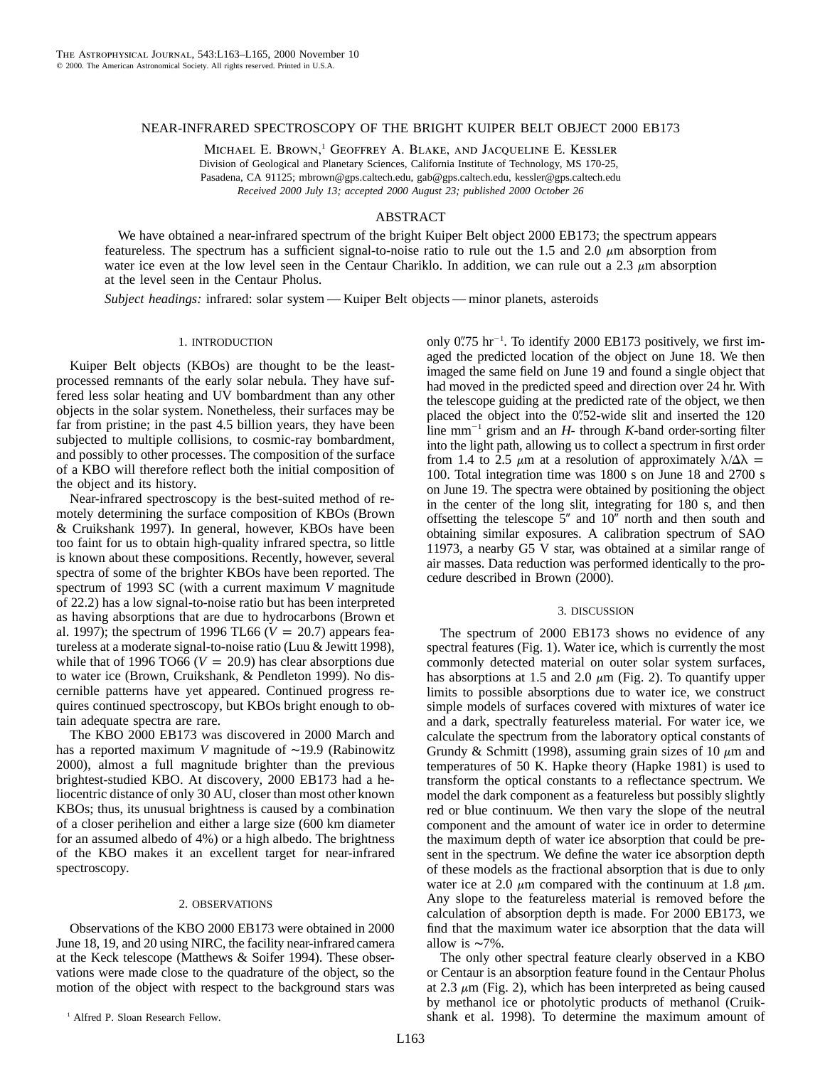# NEAR-INFRARED SPECTROSCOPY OF THE BRIGHT KUIPER BELT OBJECT 2000 EB173

MICHAEL E. BROWN,<sup>1</sup> GEOFFREY A. BLAKE, AND JACQUELINE E. KESSLER Division of Geological and Planetary Sciences, California Institute of Technology, MS 170-25, Pasadena, CA 91125; mbrown@gps.caltech.edu, gab@gps.caltech.edu, kessler@gps.caltech.edu *Received 2000 July 13; accepted 2000 August 23; published 2000 October 26*

### ABSTRACT

We have obtained a near-infrared spectrum of the bright Kuiper Belt object 2000 EB173; the spectrum appears featureless. The spectrum has a sufficient signal-to-noise ratio to rule out the 1.5 and 2.0  $\mu$ m absorption from water ice even at the low level seen in the Centaur Chariklo. In addition, we can rule out a 2.3  $\mu$ m absorption at the level seen in the Centaur Pholus.

*Subject headings:* infrared: solar system — Kuiper Belt objects — minor planets, asteroids

## 1. INTRODUCTION

Kuiper Belt objects (KBOs) are thought to be the leastprocessed remnants of the early solar nebula. They have suffered less solar heating and UV bombardment than any other objects in the solar system. Nonetheless, their surfaces may be far from pristine; in the past 4.5 billion years, they have been subjected to multiple collisions, to cosmic-ray bombardment, and possibly to other processes. The composition of the surface of a KBO will therefore reflect both the initial composition of the object and its history.

Near-infrared spectroscopy is the best-suited method of remotely determining the surface composition of KBOs (Brown & Cruikshank 1997). In general, however, KBOs have been too faint for us to obtain high-quality infrared spectra, so little is known about these compositions. Recently, however, several spectra of some of the brighter KBOs have been reported. The spectrum of 1993 SC (with a current maximum *V* magnitude of 22.2) has a low signal-to-noise ratio but has been interpreted as having absorptions that are due to hydrocarbons (Brown et al. 1997); the spectrum of 1996 TL66 ( $V = 20.7$ ) appears featureless at a moderate signal-to-noise ratio (Luu & Jewitt 1998), while that of 1996 TO66 ( $V = 20.9$ ) has clear absorptions due to water ice (Brown, Cruikshank, & Pendleton 1999). No discernible patterns have yet appeared. Continued progress requires continued spectroscopy, but KBOs bright enough to obtain adequate spectra are rare.

The KBO 2000 EB173 was discovered in 2000 March and has a reported maximum *V* magnitude of ∼19.9 (Rabinowitz 2000), almost a full magnitude brighter than the previous brightest-studied KBO. At discovery, 2000 EB173 had a heliocentric distance of only 30 AU, closer than most other known KBOs; thus, its unusual brightness is caused by a combination of a closer perihelion and either a large size (600 km diameter for an assumed albedo of 4%) or a high albedo. The brightness of the KBO makes it an excellent target for near-infrared spectroscopy.

# 2. OBSERVATIONS

Observations of the KBO 2000 EB173 were obtained in 2000 June 18, 19, and 20 using NIRC, the facility near-infrared camera at the Keck telescope (Matthews & Soifer 1994). These observations were made close to the quadrature of the object, so the motion of the object with respect to the background stars was

only  $0\rlap{.}''75$  hr<sup>-1</sup>. To identify 2000 EB173 positively, we first imaged the predicted location of the object on June 18. We then imaged the same field on June 19 and found a single object that had moved in the predicted speed and direction over 24 hr. With the telescope guiding at the predicted rate of the object, we then placed the object into the  $0''$ . 52-wide slit and inserted the 120 line mm<sup> $-1$ </sup> grism and an *H*- through *K*-band order-sorting filter into the light path, allowing us to collect a spectrum in first order from 1.4 to 2.5  $\mu$ m at a resolution of approximately  $\lambda/\Delta\lambda$  = 100. Total integration time was 1800 s on June 18 and 2700 s on June 19. The spectra were obtained by positioning the object in the center of the long slit, integrating for 180 s, and then offsetting the telescope  $5$ " and  $10$ " north and then south and obtaining similar exposures. A calibration spectrum of SAO 11973, a nearby G5 V star, was obtained at a similar range of air masses. Data reduction was performed identically to the procedure described in Brown (2000).

#### 3. DISCUSSION

The spectrum of 2000 EB173 shows no evidence of any spectral features (Fig. 1). Water ice, which is currently the most commonly detected material on outer solar system surfaces, has absorptions at 1.5 and 2.0  $\mu$ m (Fig. 2). To quantify upper limits to possible absorptions due to water ice, we construct simple models of surfaces covered with mixtures of water ice and a dark, spectrally featureless material. For water ice, we calculate the spectrum from the laboratory optical constants of Grundy & Schmitt (1998), assuming grain sizes of 10  $\mu$ m and temperatures of 50 K. Hapke theory (Hapke 1981) is used to transform the optical constants to a reflectance spectrum. We model the dark component as a featureless but possibly slightly red or blue continuum. We then vary the slope of the neutral component and the amount of water ice in order to determine the maximum depth of water ice absorption that could be present in the spectrum. We define the water ice absorption depth of these models as the fractional absorption that is due to only water ice at 2.0  $\mu$ m compared with the continuum at 1.8  $\mu$ m. Any slope to the featureless material is removed before the calculation of absorption depth is made. For 2000 EB173, we find that the maximum water ice absorption that the data will allow is ∼7%.

The only other spectral feature clearly observed in a KBO or Centaur is an absorption feature found in the Centaur Pholus at 2.3  $\mu$ m (Fig. 2), which has been interpreted as being caused by methanol ice or photolytic products of methanol (Cruikshank et al. 1998). To determine the maximum amount of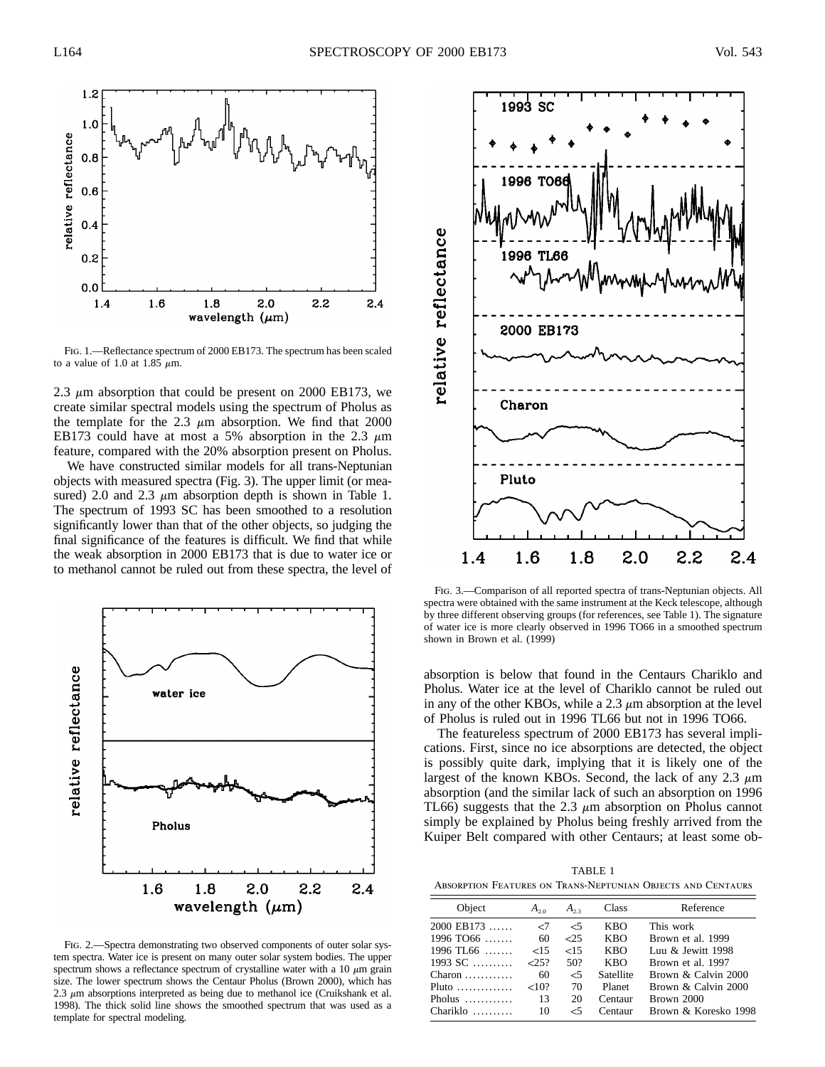

Fig. 1.—Reflectance spectrum of 2000 EB173. The spectrum has been scaled to a value of 1.0 at 1.85  $\mu$ m.

2.3  $\mu$ m absorption that could be present on 2000 EB173, we create similar spectral models using the spectrum of Pholus as the template for the 2.3  $\mu$ m absorption. We find that 2000 EB173 could have at most a 5% absorption in the 2.3  $\mu$ m feature, compared with the 20% absorption present on Pholus.

We have constructed similar models for all trans-Neptunian objects with measured spectra (Fig. 3). The upper limit (or measured) 2.0 and 2.3  $\mu$ m absorption depth is shown in Table 1. The spectrum of 1993 SC has been smoothed to a resolution significantly lower than that of the other objects, so judging the final significance of the features is difficult. We find that while the weak absorption in 2000 EB173 that is due to water ice or to methanol cannot be ruled out from these spectra, the level of



FIG. 2.—Spectra demonstrating two observed components of outer solar system spectra. Water ice is present on many outer solar system bodies. The upper spectrum shows a reflectance spectrum of crystalline water with a 10  $\mu$ m grain size. The lower spectrum shows the Centaur Pholus (Brown 2000), which has 2.3  $\mu$ m absorptions interpreted as being due to methanol ice (Cruikshank et al. 1998). The thick solid line shows the smoothed spectrum that was used as a template for spectral modeling.



Fig. 3.—Comparison of all reported spectra of trans-Neptunian objects. All spectra were obtained with the same instrument at the Keck telescope, although by three different observing groups (for references, see Table 1). The signature of water ice is more clearly observed in 1996 TO66 in a smoothed spectrum shown in Brown et al. (1999)

absorption is below that found in the Centaurs Chariklo and Pholus. Water ice at the level of Chariklo cannot be ruled out in any of the other KBOs, while a  $2.3 \mu$ m absorption at the level of Pholus is ruled out in 1996 TL66 but not in 1996 TO66.

The featureless spectrum of 2000 EB173 has several implications. First, since no ice absorptions are detected, the object is possibly quite dark, implying that it is likely one of the largest of the known KBOs. Second, the lack of any 2.3  $\mu$ m absorption (and the similar lack of such an absorption on 1996 TL66) suggests that the 2.3  $\mu$ m absorption on Pholus cannot simply be explained by Pholus being freshly arrived from the Kuiper Belt compared with other Centaurs; at least some ob-

TABLE 1 Absorption Features on Trans-Neptunian Objects and Centaurs

| Object                            | $A_{20}$ | $A_{22}$ | Class      | Reference            |
|-----------------------------------|----------|----------|------------|----------------------|
| $2000$ EB173                      | -7       | -5       | <b>KBO</b> | This work            |
| $1996$ TO66                       | 60       | 25       | <b>KBO</b> | Brown et al. 1999    |
| $1996 \text{ T}$ L66              | ${<}15$  | ${<}15$  | <b>KBO</b> | Luu & Jewitt 1998    |
| $1993$ SC                         | 25?      | 50?      | <b>KBO</b> | Brown et al. 1997    |
| $Charon$                          | 60       | $\leq$ 5 | Satellite  | Brown & Calvin 2000  |
| Pluto $\dots\dots\dots\dots\dots$ | ${<}10?$ | 70       | Planet     | Brown & Calvin 2000  |
| Pholus $\ldots$                   | 13       | 20       | Centaur    | Brown 2000           |
| $Chariklo$                        | 10       | -5       | Centaur    | Brown & Koresko 1998 |